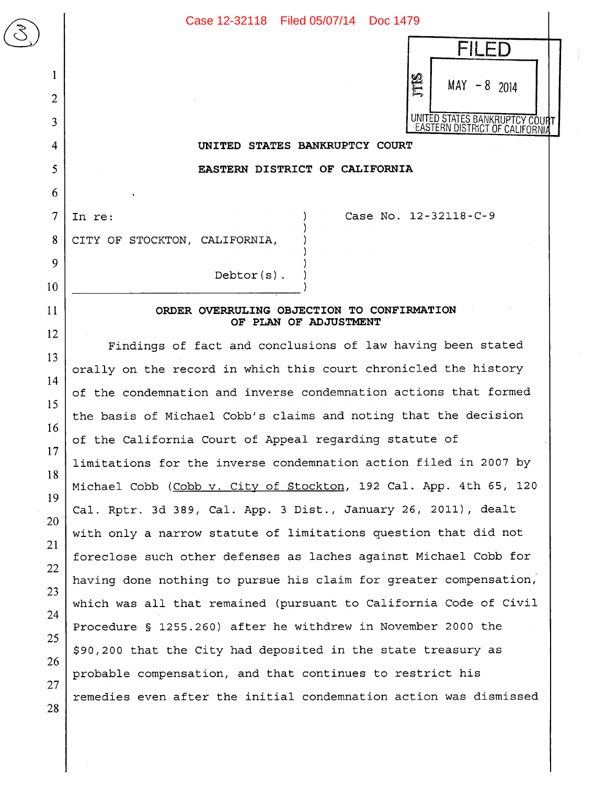

## **UNITED STATES BANKRUPTCY COURT**

**EASTERN DISTRICT OF CALIFORNIA** 

7

 $\begin{array}{|c|c|} \hline \text{C} & \text{D} & \text{E} \\ \hline \text{C} & \text{E} & \text{E} & \text{E} \\ \hline \text{C} & \text{E} & \text{E} & \text{E} & \text{E} \\ \hline \text{C} & \text{E} & \text{E} & \text{E} & \text{E} \\ \hline \text{C} & \text{E} & \text{E} & \text{E} & \text{E} \\ \hline \text{C} & \text{E} & \text{E} & \text{E} & \text{E} \\ \hline \text{C} & \text{E} & \text{E} & \text{E} & \text$ 

1

2

3

4

5

6

8

9

10

11

12

13

14

15

16

17

18

19

20

21

22

23

24

25

26

27

28

In re: (a) Case No. 12-32118-C-9

CITY OF STOCKTON, CALIFORNIA,

**ORDER OVERRULING OBJECTION TO CONFIRMATION**  OF PLAN OF ADJUSTMENT

Debtor(s)

Findings of fact and conclusions of law having been stated orally on the record in which this court chronicled the history of the condemnation and inverse condemnation actions that formed the basis of Michael Cobb's claims and noting that the decision of the California Court of Appeal regarding statute of limitations for the inverse condemnation action filed in 2007 by Michael Cobb (Cobb v. City of Stockton, 192 Cal. App. 4th 65, 120 Cal. Rptr. 3d 389, Cal. App. 3 Dist., January 26, 2011), dealt with only a narrow statute of limitations question that did not foreclose such other defenses as laches against Michael Cobb for having done nothing to pursue his claim for greater compensation; which was all that remained (pursuant to California Code of Civil Procedure § 1255.260) after he withdrew in November 2000 the \$90,200 that the City had deposited in the state treasury as probable compensation, and that continues to restrict his remedies even after the initial condemnation action was dismissed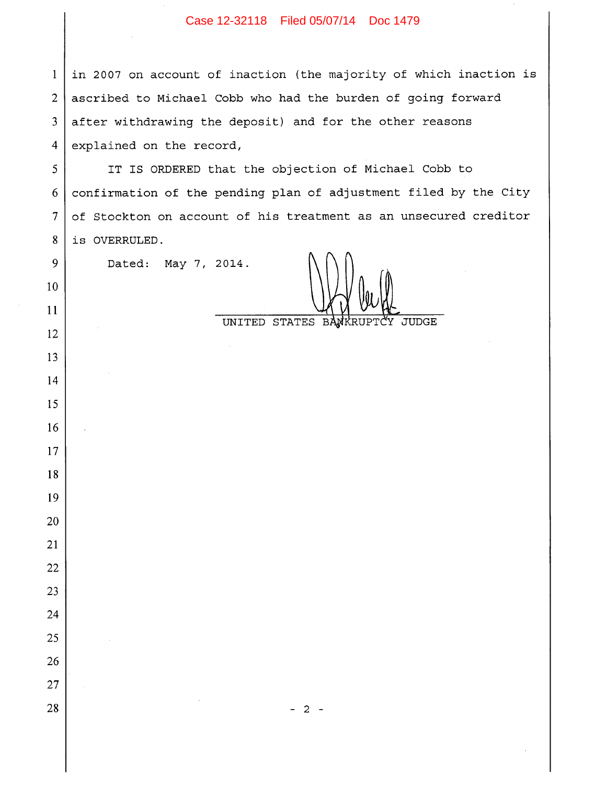## Case 12-32118 Filed 05/07/14 Doc 1479

 in 2007 on account of inaction (the majority of which inaction is ascribed to Michael Cobb who had the burden of going forward after withdrawing the deposit) and for the other reasons explained on the record,

 IT IS ORDERED that the objection of Michael Cobb to confirmation of the pending plan of adjustment filed by the City of Stockton on account of his treatment as an unsecured creditor is OVERRULED.

Dated: May 7, 2014.

t

UNITED STATES BANKRUPTCY JUDGE